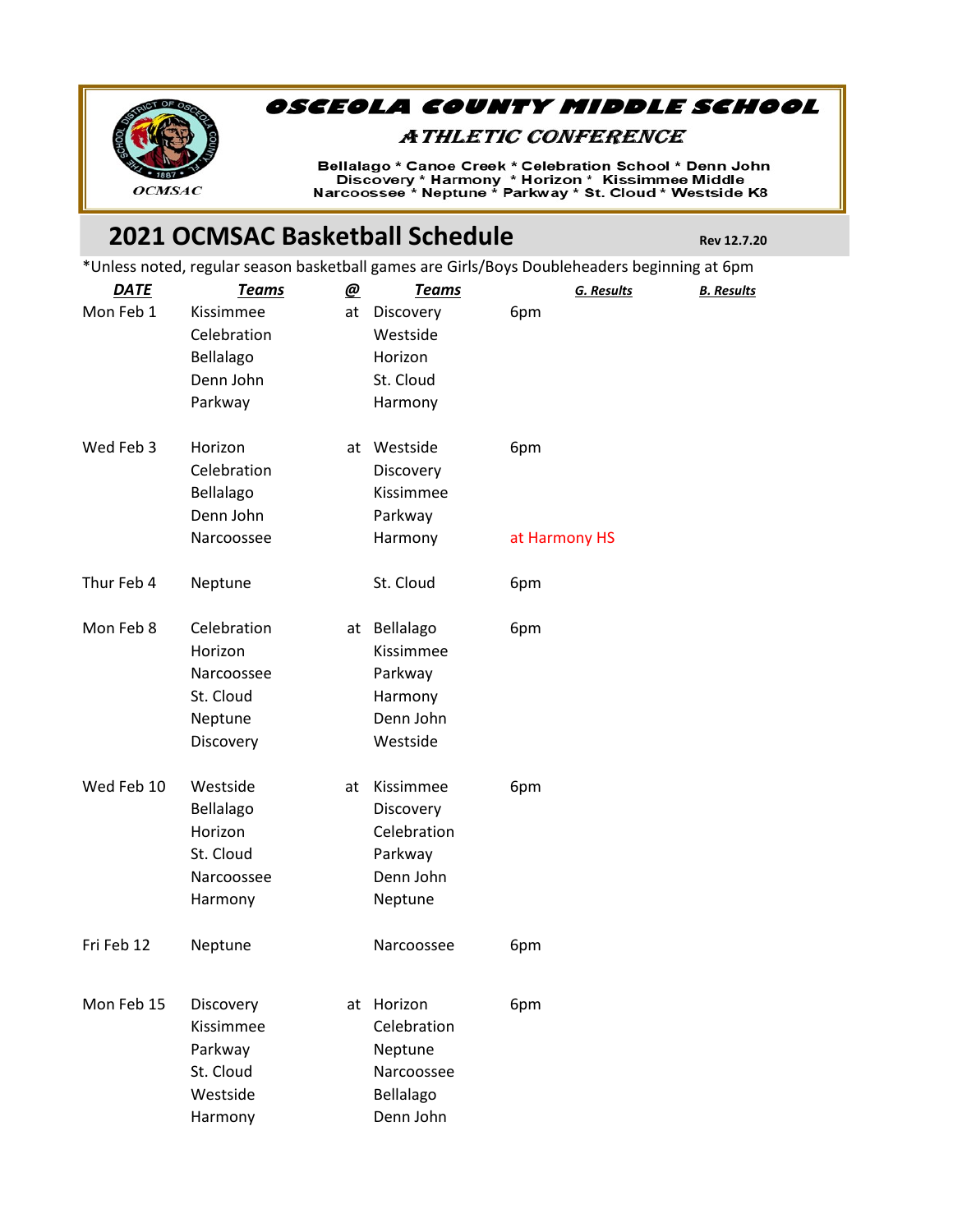

## OSCEOLA COUNTY MIDDLE SCHOOL

## **ATHLETIC CONFERENCE**

Bellalago \* Canoe Creek \* Celebration School \* Denn John<br>Discovery \* Harmony \* Horizon \* Kissimmee Middle<br>Narcoossee \* Neptune \* Parkway \* St. Cloud \* Westside K8

## **2021 OCMSAC Basketball Schedule Rev 12.7.20**

\*Unless noted, regular season basketball games are Girls/Boys Doubleheaders beginning at 6pm

| Mon Feb 1<br>Kissimmee<br>at<br>Discovery<br>6pm<br>Celebration<br>Westside<br>Horizon<br>Bellalago<br>Denn John<br>St. Cloud<br>Parkway<br>Harmony<br>Wed Feb 3<br>Horizon<br>at Westside<br>6pm<br>Celebration<br>Discovery<br>Kissimmee<br>Bellalago<br>Denn John<br>Parkway<br>Narcoossee<br>Harmony<br>at Harmony HS<br>Thur Feb 4<br>St. Cloud<br>Neptune<br>6pm<br>Celebration<br>Mon Feb 8<br>at Bellalago<br>6pm<br>Horizon<br>Kissimmee<br>Narcoossee<br>Parkway<br>St. Cloud<br>Harmony<br>Denn John<br>Neptune<br>Westside<br>Discovery<br>Wed Feb 10<br>Westside<br>Kissimmee<br>6pm<br>at<br>Bellalago<br>Discovery<br>Celebration<br>Horizon<br>St. Cloud<br>Parkway<br>Denn John<br>Narcoossee<br>Harmony<br>Neptune<br>Fri Feb 12<br>Neptune<br>Narcoossee<br>6pm<br>at Horizon<br>Mon Feb 15<br>Discovery<br>6pm<br>Kissimmee<br>Celebration<br>Parkway<br>Neptune<br>St. Cloud<br>Narcoossee<br>Westside<br>Bellalago | <b>DATE</b> | <u>Teams</u> | <u>@</u> | <b>Teams</b> | <b>G. Results</b> | <b>B.</b> Results |
|------------------------------------------------------------------------------------------------------------------------------------------------------------------------------------------------------------------------------------------------------------------------------------------------------------------------------------------------------------------------------------------------------------------------------------------------------------------------------------------------------------------------------------------------------------------------------------------------------------------------------------------------------------------------------------------------------------------------------------------------------------------------------------------------------------------------------------------------------------------------------------------------------------------------------------------|-------------|--------------|----------|--------------|-------------------|-------------------|
|                                                                                                                                                                                                                                                                                                                                                                                                                                                                                                                                                                                                                                                                                                                                                                                                                                                                                                                                          |             |              |          |              |                   |                   |
|                                                                                                                                                                                                                                                                                                                                                                                                                                                                                                                                                                                                                                                                                                                                                                                                                                                                                                                                          |             |              |          |              |                   |                   |
|                                                                                                                                                                                                                                                                                                                                                                                                                                                                                                                                                                                                                                                                                                                                                                                                                                                                                                                                          |             |              |          |              |                   |                   |
|                                                                                                                                                                                                                                                                                                                                                                                                                                                                                                                                                                                                                                                                                                                                                                                                                                                                                                                                          |             |              |          |              |                   |                   |
|                                                                                                                                                                                                                                                                                                                                                                                                                                                                                                                                                                                                                                                                                                                                                                                                                                                                                                                                          |             |              |          |              |                   |                   |
|                                                                                                                                                                                                                                                                                                                                                                                                                                                                                                                                                                                                                                                                                                                                                                                                                                                                                                                                          |             |              |          |              |                   |                   |
|                                                                                                                                                                                                                                                                                                                                                                                                                                                                                                                                                                                                                                                                                                                                                                                                                                                                                                                                          |             |              |          |              |                   |                   |
|                                                                                                                                                                                                                                                                                                                                                                                                                                                                                                                                                                                                                                                                                                                                                                                                                                                                                                                                          |             |              |          |              |                   |                   |
|                                                                                                                                                                                                                                                                                                                                                                                                                                                                                                                                                                                                                                                                                                                                                                                                                                                                                                                                          |             |              |          |              |                   |                   |
|                                                                                                                                                                                                                                                                                                                                                                                                                                                                                                                                                                                                                                                                                                                                                                                                                                                                                                                                          |             |              |          |              |                   |                   |
|                                                                                                                                                                                                                                                                                                                                                                                                                                                                                                                                                                                                                                                                                                                                                                                                                                                                                                                                          |             |              |          |              |                   |                   |
|                                                                                                                                                                                                                                                                                                                                                                                                                                                                                                                                                                                                                                                                                                                                                                                                                                                                                                                                          |             |              |          |              |                   |                   |
|                                                                                                                                                                                                                                                                                                                                                                                                                                                                                                                                                                                                                                                                                                                                                                                                                                                                                                                                          |             |              |          |              |                   |                   |
|                                                                                                                                                                                                                                                                                                                                                                                                                                                                                                                                                                                                                                                                                                                                                                                                                                                                                                                                          |             |              |          |              |                   |                   |
|                                                                                                                                                                                                                                                                                                                                                                                                                                                                                                                                                                                                                                                                                                                                                                                                                                                                                                                                          |             |              |          |              |                   |                   |
|                                                                                                                                                                                                                                                                                                                                                                                                                                                                                                                                                                                                                                                                                                                                                                                                                                                                                                                                          |             |              |          |              |                   |                   |
|                                                                                                                                                                                                                                                                                                                                                                                                                                                                                                                                                                                                                                                                                                                                                                                                                                                                                                                                          |             |              |          |              |                   |                   |
|                                                                                                                                                                                                                                                                                                                                                                                                                                                                                                                                                                                                                                                                                                                                                                                                                                                                                                                                          |             |              |          |              |                   |                   |
|                                                                                                                                                                                                                                                                                                                                                                                                                                                                                                                                                                                                                                                                                                                                                                                                                                                                                                                                          |             |              |          |              |                   |                   |
|                                                                                                                                                                                                                                                                                                                                                                                                                                                                                                                                                                                                                                                                                                                                                                                                                                                                                                                                          |             |              |          |              |                   |                   |
|                                                                                                                                                                                                                                                                                                                                                                                                                                                                                                                                                                                                                                                                                                                                                                                                                                                                                                                                          |             |              |          |              |                   |                   |
|                                                                                                                                                                                                                                                                                                                                                                                                                                                                                                                                                                                                                                                                                                                                                                                                                                                                                                                                          |             |              |          |              |                   |                   |
|                                                                                                                                                                                                                                                                                                                                                                                                                                                                                                                                                                                                                                                                                                                                                                                                                                                                                                                                          |             |              |          |              |                   |                   |
|                                                                                                                                                                                                                                                                                                                                                                                                                                                                                                                                                                                                                                                                                                                                                                                                                                                                                                                                          |             |              |          |              |                   |                   |
|                                                                                                                                                                                                                                                                                                                                                                                                                                                                                                                                                                                                                                                                                                                                                                                                                                                                                                                                          |             |              |          |              |                   |                   |
|                                                                                                                                                                                                                                                                                                                                                                                                                                                                                                                                                                                                                                                                                                                                                                                                                                                                                                                                          |             |              |          |              |                   |                   |
|                                                                                                                                                                                                                                                                                                                                                                                                                                                                                                                                                                                                                                                                                                                                                                                                                                                                                                                                          |             |              |          |              |                   |                   |
|                                                                                                                                                                                                                                                                                                                                                                                                                                                                                                                                                                                                                                                                                                                                                                                                                                                                                                                                          |             |              |          |              |                   |                   |
|                                                                                                                                                                                                                                                                                                                                                                                                                                                                                                                                                                                                                                                                                                                                                                                                                                                                                                                                          |             |              |          |              |                   |                   |
|                                                                                                                                                                                                                                                                                                                                                                                                                                                                                                                                                                                                                                                                                                                                                                                                                                                                                                                                          |             | Harmony      |          | Denn John    |                   |                   |